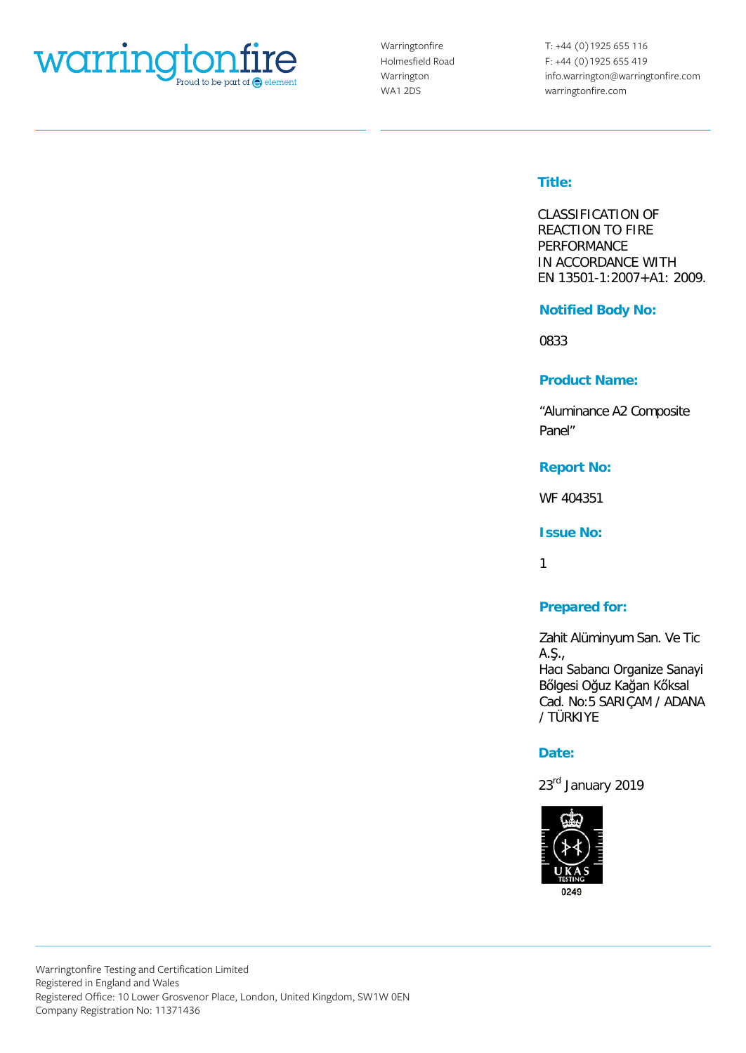

Warringtonfire Holmesfield Road Warrington WA1 2DS

T: +44 (0)1925 655 116 F: +44 (0)1925 655 419 info.warrington@warringtonfire.com warringtonfire.com

# **Title:**

CLASSIFICATION OF REACTION TO FIRE PERFORMANCE IN ACCORDANCE WITH EN 13501-1:2007+A1: 2009.

## **Notified Body No:**

0833

# **Product Name:**

"Aluminance A2 Composite Panel"

#### **Report No:**

WF 404351

#### **Issue No:**

1

## **Prepared for:**

Zahit Alüminyum San. Ve Tic A.Ş., Hacı Sabancı Organize Sanayi Bőlgesi Oğuz Kağan Kőksal Cad. No:5 SARIÇAM / ADANA / TÜRKIYE

# **Date:**

23rd January 2019